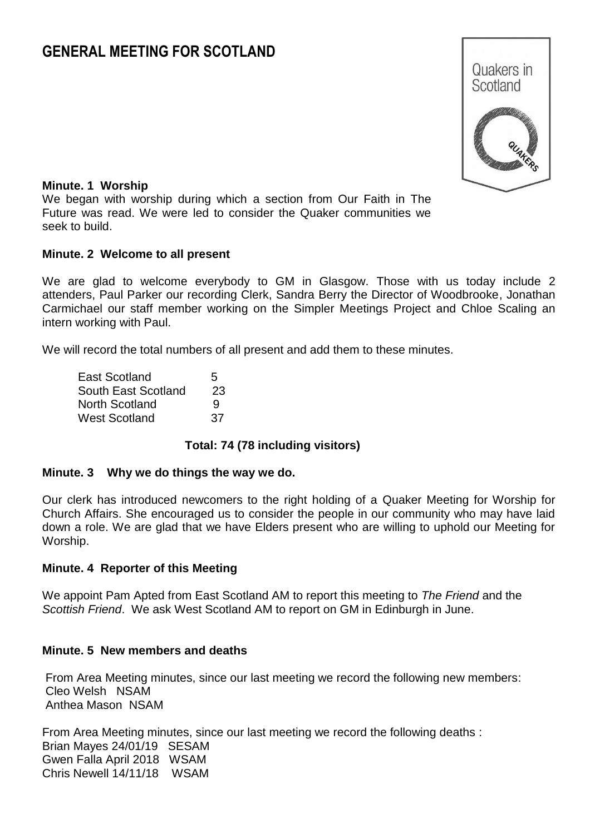# **GENERAL MEETING FOR SCOTLAND**



#### **Minute. 1 Worship**

We began with worship during which a section from Our Faith in The Future was read. We were led to consider the Quaker communities we seek to build.

#### **Minute. 2 Welcome to all present**

We are glad to welcome everybody to GM in Glasgow. Those with us today include 2 attenders, Paul Parker our recording Clerk, Sandra Berry the Director of Woodbrooke, Jonathan Carmichael our staff member working on the Simpler Meetings Project and Chloe Scaling an intern working with Paul.

We will record the total numbers of all present and add them to these minutes.

| <b>East Scotland</b> | 5   |  |  |
|----------------------|-----|--|--|
| South East Scotland  | 23  |  |  |
| North Scotland       |     |  |  |
| West Scotland        | :37 |  |  |

### **Total: 74 (78 including visitors)**

#### **Minute. 3 Why we do things the way we do.**

Our clerk has introduced newcomers to the right holding of a Quaker Meeting for Worship for Church Affairs. She encouraged us to consider the people in our community who may have laid down a role. We are glad that we have Elders present who are willing to uphold our Meeting for Worship.

#### **Minute. 4 Reporter of this Meeting**

We appoint Pam Apted from East Scotland AM to report this meeting to *The Friend* and the *Scottish Friend*. We ask West Scotland AM to report on GM in Edinburgh in June.

### **Minute. 5 New members and deaths**

From Area Meeting minutes, since our last meeting we record the following new members: Cleo Welsh NSAM Anthea Mason NSAM

From Area Meeting minutes, since our last meeting we record the following deaths : Brian Mayes 24/01/19 SESAM Gwen Falla April 2018 WSAM Chris Newell 14/11/18 WSAM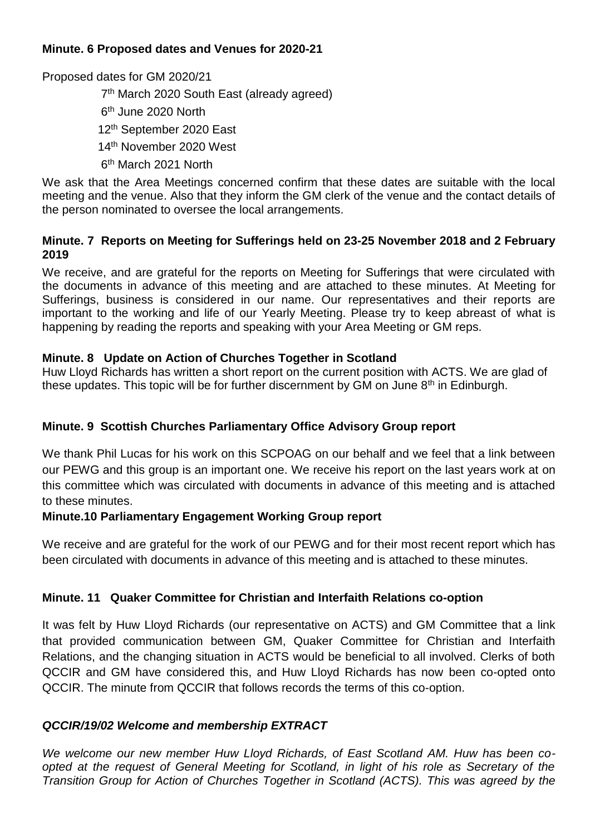# **Minute. 6 Proposed dates and Venues for 2020-21**

Proposed dates for GM 2020/21

 7 th March 2020 South East (already agreed) 6<sup>th</sup> June 2020 North 12th September 2020 East 14th November 2020 West 6<sup>th</sup> March 2021 North

We ask that the Area Meetings concerned confirm that these dates are suitable with the local meeting and the venue. Also that they inform the GM clerk of the venue and the contact details of the person nominated to oversee the local arrangements.

# **Minute. 7 Reports on Meeting for Sufferings held on 23-25 November 2018 and 2 February 2019**

We receive, and are grateful for the reports on Meeting for Sufferings that were circulated with the documents in advance of this meeting and are attached to these minutes. At Meeting for Sufferings, business is considered in our name. Our representatives and their reports are important to the working and life of our Yearly Meeting. Please try to keep abreast of what is happening by reading the reports and speaking with your Area Meeting or GM reps.

# **Minute. 8 Update on Action of Churches Together in Scotland**

Huw Lloyd Richards has written a short report on the current position with ACTS. We are glad of these updates. This topic will be for further discernment by GM on June  $8<sup>th</sup>$  in Edinburgh.

# **Minute. 9 Scottish Churches Parliamentary Office Advisory Group report**

We thank Phil Lucas for his work on this SCPOAG on our behalf and we feel that a link between our PEWG and this group is an important one. We receive his report on the last years work at on this committee which was circulated with documents in advance of this meeting and is attached to these minutes.

# **Minute.10 Parliamentary Engagement Working Group report**

We receive and are grateful for the work of our PEWG and for their most recent report which has been circulated with documents in advance of this meeting and is attached to these minutes.

# **Minute. 11 Quaker Committee for Christian and Interfaith Relations co-option**

It was felt by Huw Lloyd Richards (our representative on ACTS) and GM Committee that a link that provided communication between GM, Quaker Committee for Christian and Interfaith Relations, and the changing situation in ACTS would be beneficial to all involved. Clerks of both QCCIR and GM have considered this, and Huw Lloyd Richards has now been co-opted onto QCCIR. The minute from QCCIR that follows records the terms of this co-option.

# *QCCIR/19/02 Welcome and membership EXTRACT*

*We welcome our new member Huw Lloyd Richards, of East Scotland AM. Huw has been coopted at the request of General Meeting for Scotland, in light of his role as Secretary of the Transition Group for Action of Churches Together in Scotland (ACTS). This was agreed by the*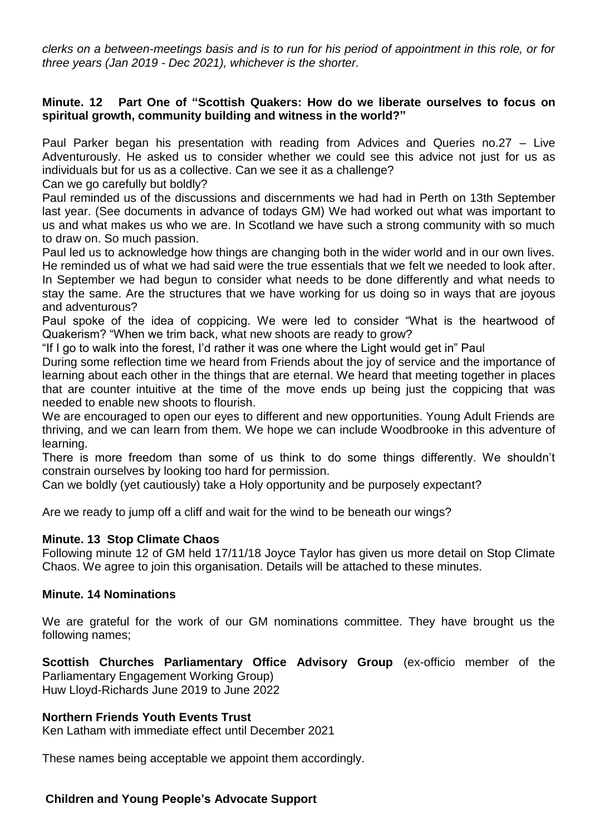*clerks on a between-meetings basis and is to run for his period of appointment in this role, or for three years (Jan 2019 - Dec 2021), whichever is the shorter.*

### **Minute. 12 Part One of "Scottish Quakers: How do we liberate ourselves to focus on spiritual growth, community building and witness in the world?"**

Paul Parker began his presentation with reading from Advices and Queries no.27 – Live Adventurously. He asked us to consider whether we could see this advice not just for us as individuals but for us as a collective. Can we see it as a challenge?

Can we go carefully but boldly?

Paul reminded us of the discussions and discernments we had had in Perth on 13th September last year. (See documents in advance of todays GM) We had worked out what was important to us and what makes us who we are. In Scotland we have such a strong community with so much to draw on. So much passion.

Paul led us to acknowledge how things are changing both in the wider world and in our own lives. He reminded us of what we had said were the true essentials that we felt we needed to look after. In September we had begun to consider what needs to be done differently and what needs to stay the same. Are the structures that we have working for us doing so in ways that are joyous and adventurous?

Paul spoke of the idea of coppicing. We were led to consider "What is the heartwood of Quakerism? "When we trim back, what new shoots are ready to grow?

"If I go to walk into the forest, I'd rather it was one where the Light would get in" Paul

During some reflection time we heard from Friends about the joy of service and the importance of learning about each other in the things that are eternal. We heard that meeting together in places that are counter intuitive at the time of the move ends up being just the coppicing that was needed to enable new shoots to flourish.

We are encouraged to open our eyes to different and new opportunities. Young Adult Friends are thriving, and we can learn from them. We hope we can include Woodbrooke in this adventure of learning.

There is more freedom than some of us think to do some things differently. We shouldn't constrain ourselves by looking too hard for permission.

Can we boldly (yet cautiously) take a Holy opportunity and be purposely expectant?

Are we ready to jump off a cliff and wait for the wind to be beneath our wings?

### **Minute. 13 Stop Climate Chaos**

Following minute 12 of GM held 17/11/18 Joyce Taylor has given us more detail on Stop Climate Chaos. We agree to join this organisation. Details will be attached to these minutes.

### **Minute. 14 Nominations**

We are grateful for the work of our GM nominations committee. They have brought us the following names;

**Scottish Churches Parliamentary Office Advisory Group** (ex-officio member of the Parliamentary Engagement Working Group) Huw Lloyd-Richards June 2019 to June 2022

### **Northern Friends Youth Events Trust**

Ken Latham with immediate effect until December 2021

These names being acceptable we appoint them accordingly.

### **Children and Young People's Advocate Support**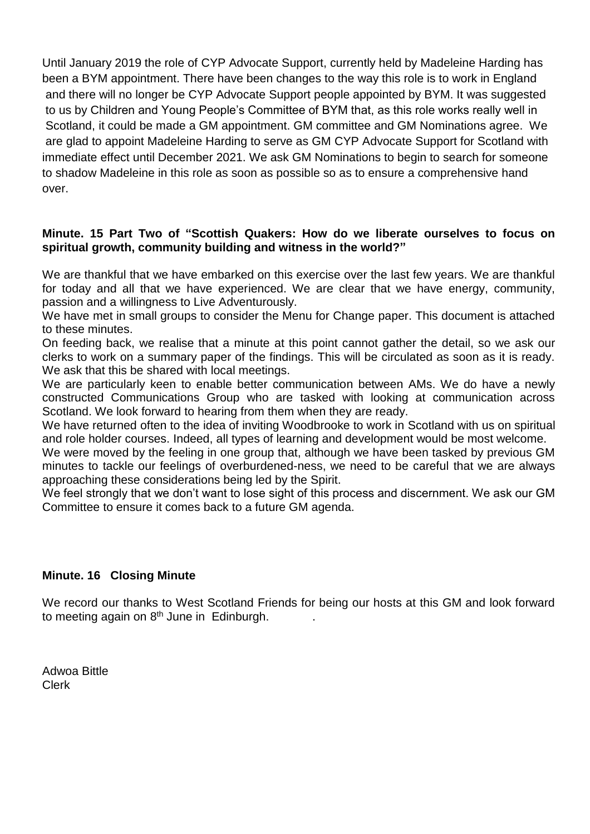Until January 2019 the role of CYP Advocate Support, currently held by Madeleine Harding has been a BYM appointment. There have been changes to the way this role is to work in England and there will no longer be CYP Advocate Support people appointed by BYM. It was suggested to us by Children and Young People's Committee of BYM that, as this role works really well in Scotland, it could be made a GM appointment. GM committee and GM Nominations agree. We are glad to appoint Madeleine Harding to serve as GM CYP Advocate Support for Scotland with immediate effect until December 2021. We ask GM Nominations to begin to search for someone to shadow Madeleine in this role as soon as possible so as to ensure a comprehensive hand over.

### **Minute. 15 Part Two of "Scottish Quakers: How do we liberate ourselves to focus on spiritual growth, community building and witness in the world?"**

We are thankful that we have embarked on this exercise over the last few years. We are thankful for today and all that we have experienced. We are clear that we have energy, community, passion and a willingness to Live Adventurously.

We have met in small groups to consider the Menu for Change paper. This document is attached to these minutes.

On feeding back, we realise that a minute at this point cannot gather the detail, so we ask our clerks to work on a summary paper of the findings. This will be circulated as soon as it is ready. We ask that this be shared with local meetings.

We are particularly keen to enable better communication between AMs. We do have a newly constructed Communications Group who are tasked with looking at communication across Scotland. We look forward to hearing from them when they are ready.

We have returned often to the idea of inviting Woodbrooke to work in Scotland with us on spiritual and role holder courses. Indeed, all types of learning and development would be most welcome.

We were moved by the feeling in one group that, although we have been tasked by previous GM minutes to tackle our feelings of overburdened-ness, we need to be careful that we are always approaching these considerations being led by the Spirit.

We feel strongly that we don't want to lose sight of this process and discernment. We ask our GM Committee to ensure it comes back to a future GM agenda.

# **Minute. 16 Closing Minute**

We record our thanks to West Scotland Friends for being our hosts at this GM and look forward to meeting again on 8<sup>th</sup> June in Edinburgh.  $\qquad \qquad .$ 

Adwoa Bittle Clerk